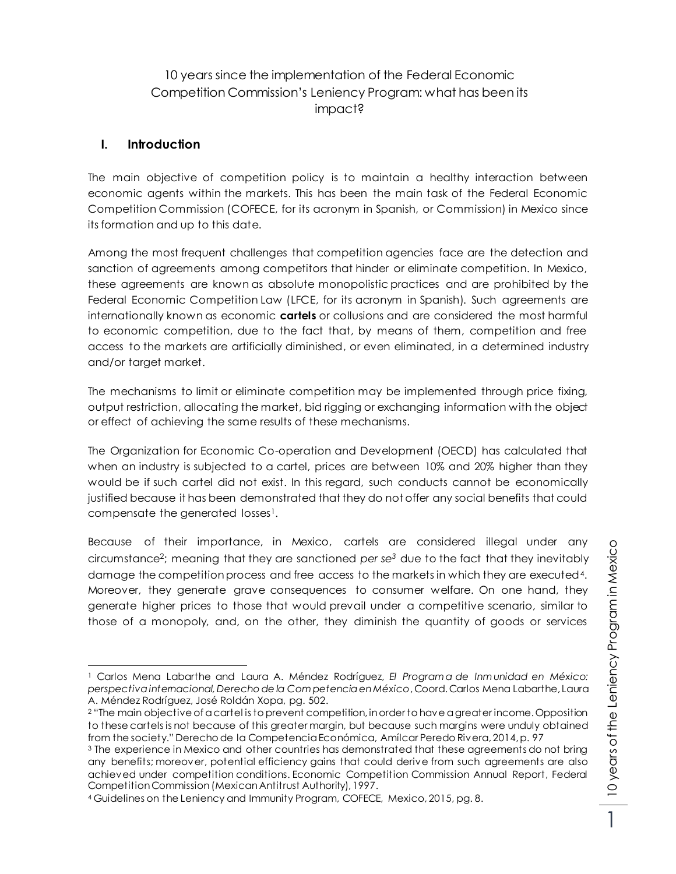# 10 years since the implementation of the Federal Economic Competition Commission's Leniency Program: what has been its impact?

#### **I. Introduction**

The main objective of competition policy is to maintain a healthy interaction between economic agents within the markets. This has been the main task of the Federal Economic Competition Commission (COFECE, for its acronym in Spanish, or Commission) in Mexico since its formation and up to this date.

Among the most frequent challenges that competition agencies face are the detection and sanction of agreements among competitors that hinder or eliminate competition. In Mexico, these agreements are known as absolute monopolistic practices and are prohibited by the Federal Economic Competition Law (LFCE, for its acronym in Spanish). Such agreements are internationally known as economic **cartels** or collusions and are considered the most harmful to economic competition, due to the fact that, by means of them, competition and free access to the markets are artificially diminished, or even eliminated, in a determined industry and/or target market.

The mechanisms to limit or eliminate competition may be implemented through price fixing, output restriction, allocating the market, bid rigging or exchanging information with the object or effect of achieving the same results of these mechanisms.

The Organization for Economic Co-operation and Development (OECD) has calculated that when an industry is subjected to a cartel, prices are between 10% and 20% higher than they would be if such cartel did not exist. In this regard, such conducts cannot be economically justified because it has been demonstrated that they do not offer any social benefits that could compensate the generated losses1.

Because of their importance, in Mexico, cartels are considered illegal under any circumstance<sup>2</sup> ; meaning that they are sanctioned *per se<sup>3</sup>* due to the fact that they inevitably damage the competition process and free access to the markets in which they are executed4. Moreover, they generate grave consequences to consumer welfare. On one hand, they generate higher prices to those that would prevail under a competitive scenario, similar to those of a monopoly, and, on the other, they diminish the quantity of goods or services

1

 $\overline{a}$ <sup>1</sup> Carlos Mena Labarthe and Laura A. Méndez Rodríguez, *El Program a de Inm unidad en México: perspectiva internacional, Derecho de la Com petencia en México*, Coord. Carlos Mena Labarthe, Laura A. Méndez Rodríguez, José Roldán Xopa, pg. 502.

<sup>2</sup> "The main objective of a cartel is to prevent competition, in order to have a greater income. Opposition to these cartels is not because of this greater margin, but because such margins were unduly obtained from the society." Derecho de la Competencia Económica, Amílcar Peredo Rivera, 2014, p. 97

<sup>&</sup>lt;sup>3</sup> The experience in Mexico and other countries has demonstrated that these agreements do not bring any benefits; moreover, potential efficiency gains that could derive from such agreements are also achieved under competition conditions. Economic Competition Commission Annual Report, Federal Competition Commission (Mexican Antitrust Authority), 1997.

<sup>4</sup> Guidelines on the Leniency and Immunity Program, COFECE, Mexico, 2015, pg. 8.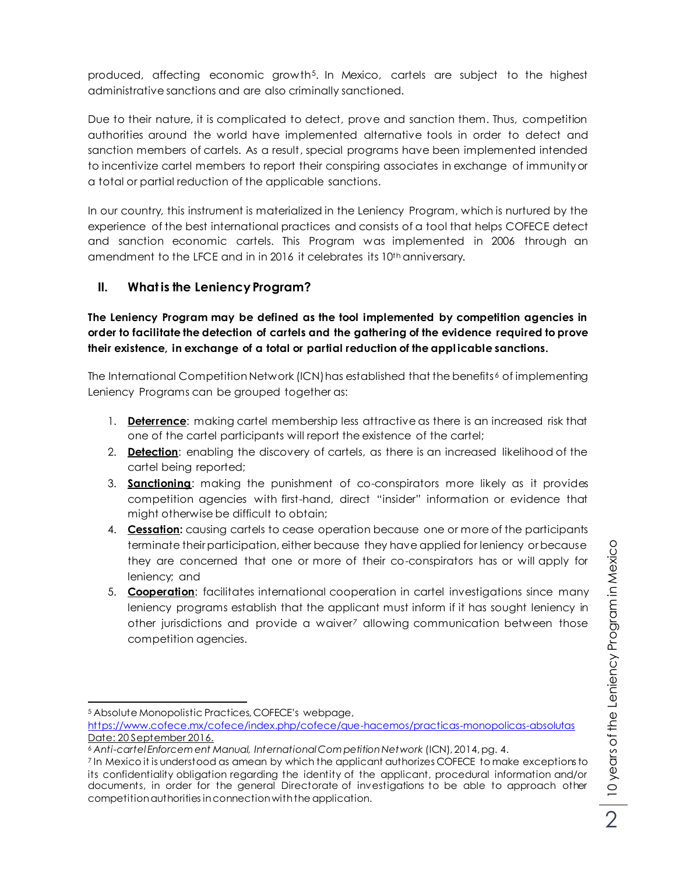produced, affecting economic growth5. In Mexico, cartels are subject to the highest administrative sanctions and are also criminally sanctioned.

Due to their nature, it is complicated to detect, prove and sanction them. Thus, competition authorities around the world have implemented alternative tools in order to detect and sanction members of cartels. As a result, special programs have been implemented intended to incentivize cartel members to report their conspiring associates in exchange of immunity or a total or partial reduction of the applicable sanctions.

In our country, this instrument is materialized in the Leniency Program, which is nurtured by the experience of the best international practices and consists of a tool that helps COFECE detect and sanction economic cartels. This Program was implemented in 2006 through an amendment to the LFCE and in in 2016 it celebrates its 10th anniversary.

### **II. What is the Leniency Program?**

**The Leniency Program may be defined as the tool implemented by competition agencies in order to facilitate the detection of cartels and the gathering of the evidence required to prove their existence, in exchange of a total or partial reduction of the appl icable sanctions.** 

The International Competition Network (ICN) has established that the benefits<sup>6</sup> of implementing Leniency Programs can be grouped together as:

- 1. **Deterrence**: making cartel membership less attractive as there is an increased risk that one of the cartel participants will report the existence of the cartel;
- 2. **Detection**: enabling the discovery of cartels, as there is an increased likelihood of the cartel being reported;
- 3. **Sanctioning**: making the punishment of co-conspirators more likely as it provides competition agencies with first-hand, direct "insider" information or evidence that might otherwise be difficult to obtain;
- 4. **Cessation:** causing cartels to cease operation because one or more of the participants terminate their participation, either because they have applied for leniency or because they are concerned that one or more of their co-conspirators has or will apply for leniency; and
- 5. **Cooperation**: facilitates international cooperation in cartel investigations since many leniency programs establish that the applicant must inform if it has sought leniency in other jurisdictions and provide a waiver*<sup>7</sup>* allowing communication between those competition agencies.

 $\overline{a}$ <sup>5</sup> Absolute Monopolistic Practices, COFECE's webpage,

<https://www.cofece.mx/cofece/index.php/cofece/que-hacemos/practicas-monopolicas-absolutas> Date: 20 September 2016.

<sup>6</sup> *Anti-cartel Enforcem ent Manual, International Com petition Network* (ICN), 2014, pg. 4.

<sup>7</sup> In Mexico it is understood as amean by which the applicant authorizes COFECE to make exceptions to its confidentiality obligation regarding the identity of the applicant, procedural information and/or documents, in order for the general Directorate of investigations to be able to approach other competition authorities in connection with the application.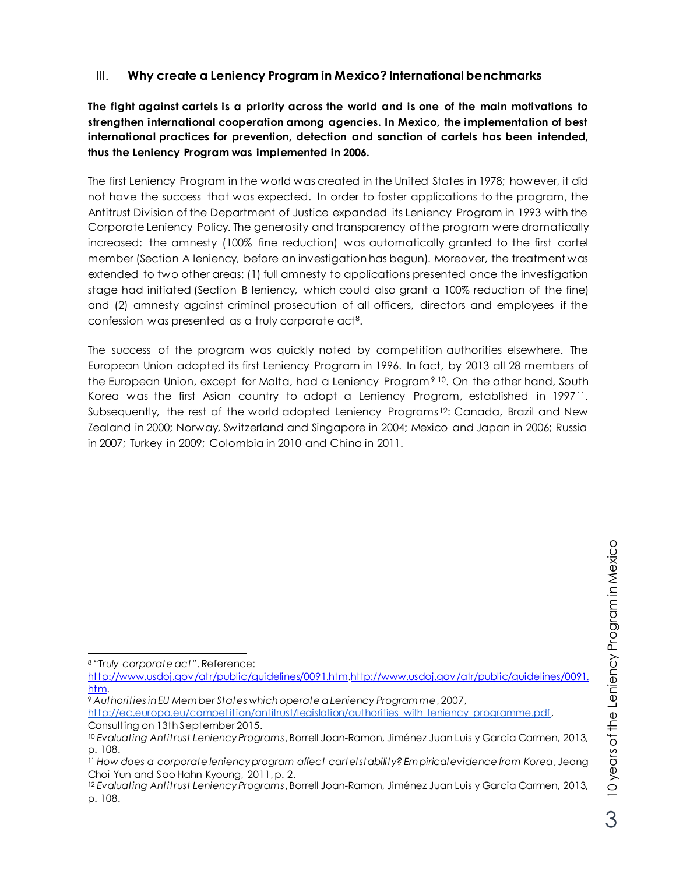## III. **Why create a Leniency Program in Mexico? International benchmarks**

**The fight against cartels is a priority across the world and is one of the main motivations to strengthen international cooperation among agencies. In Mexico, the implementation of best international practices for prevention, detection and sanction of cartels has been intended, thus the Leniency Program was implemented in 2006.**

The first Leniency Program in the world was created in the United States in 1978; however, it did not have the success that was expected. In order to foster applications to the program, the Antitrust Division of the Department of Justice expanded its Leniency Program in 1993 with the Corporate Leniency Policy. The generosity and transparency of the program were dramatically increased: the amnesty (100% fine reduction) was automatically granted to the first cartel member (Section A leniency, before an investigation has begun). Moreover, the treatment was extended to two other areas: (1) full amnesty to applications presented once the investigation stage had initiated (Section B leniency, which could also grant a 100% reduction of the fine) and (2) amnesty against criminal prosecution of all officers, directors and employees if the confession was presented as a truly corporate act<sup>8</sup>.

The success of the program was quickly noted by competition authorities elsewhere. The European Union adopted its first Leniency Program in 1996. In fact, by 2013 all 28 members of the European Union, except for Malta, had a Leniency Program<sup>910</sup>. On the other hand, South Korea was the first Asian country to adopt a Leniency Program, established in 1997<sup>11</sup>. Subsequently, the rest of the world adopted Leniency Programs<sup>12</sup>: Canada, Brazil and New Zealand in 2000; Norway, Switzerland and Singapore in 2004; Mexico and Japan in 2006; Russia in 2007; Turkey in 2009; Colombia in 2010 and China in 2011.

[http://www.usdoj.gov/atr/public/guidelines/0091.htm.http://www.usdoj.gov/atr/public/guidelines/0091.](http://www.usdoj.gov/atr/public/guidelines/0091.htm) [htm.](http://www.usdoj.gov/atr/public/guidelines/0091.htm)

 $\overline{a}$ <sup>8</sup> "T*ruly corporate act*". Reference:

<sup>9</sup> *Authorities in EU Mem ber States which operate a Leniency Program me*, 2007,

[http://ec.europa.eu/competition/antitrust/legislation/authorities\\_with\\_leniency\\_programme.pdf](http://ec.europa.eu/competition/antitrust/legislation/authorities_with_leniency_programme.pdf), Consulting on 13th September 2015.

<sup>10</sup> *Evaluating Antitrust Leniency Programs*, Borrell Joan-Ramon, Jiménez Juan Luis y Garcia Carmen, 2013, p. 108.

<sup>11</sup> *How does a corporate leniency program affect cartel stability? Em pirical evidence from Korea*, Jeong Choi Yun and Soo Hahn Kyoung, 2011, p. 2.

<sup>12</sup> *Evaluating Antitrust Leniency Programs*, Borrell Joan-Ramon, Jiménez Juan Luis y Garcia Carmen, 2013, p. 108.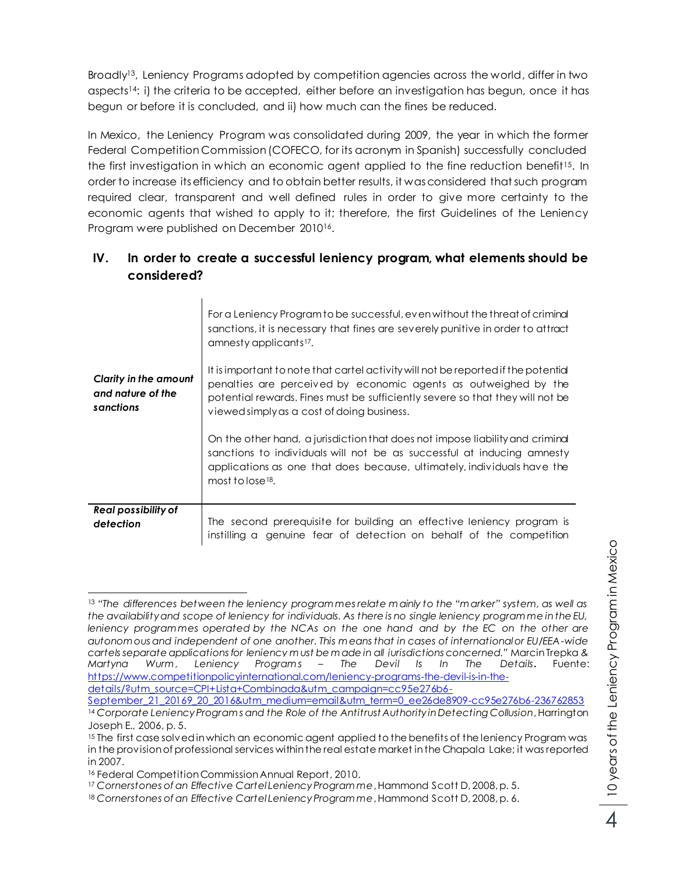Broadly13, Leniency Programs adopted by competition agencies across the world, differ in two aspects14: i) the criteria to be accepted, either before an investigation has begun, once it has begun or before it is concluded, and ii) how much can the fines be reduced.

In Mexico, the Leniency Program was consolidated during 2009, the year in which the former Federal Competition Commission (COFECO, for its acronym in Spanish) successfully concluded the first investigation in which an economic agent applied to the fine reduction benefit<sup>15</sup>. In order to increase its efficiency and to obtain better results, it was considered that such program required clear, transparent and well defined rules in order to give more certainty to the economic agents that wished to apply to it; therefore, the first Guidelines of the Leniency Program were published on December 2010<sup>16</sup>.

## **IV. In order to create a successful leniency program, what elements should be considered?**

| <b>Clarity in the amount</b><br>and nature of the<br>sanctions | For a Leniency Program to be successful, even without the threat of criminal<br>sanctions, it is necessary that fines are severely punitive in order to attract<br>amnesty applicants <sup>17</sup> .<br>It is important to note that cartel activity will not be reported if the potential<br>penalties are perceived by economic agents as outweighed by the<br>potential rewards. Fines must be sufficiently severe so that they will not be<br>viewed simply as a cost of doing business.<br>On the other hand, a jurisdiction that does not impose liability and criminal<br>sanctions to individuals will not be as successful at inducing amnesty<br>applications as one that does because, ultimately, individuals have the |
|----------------------------------------------------------------|-------------------------------------------------------------------------------------------------------------------------------------------------------------------------------------------------------------------------------------------------------------------------------------------------------------------------------------------------------------------------------------------------------------------------------------------------------------------------------------------------------------------------------------------------------------------------------------------------------------------------------------------------------------------------------------------------------------------------------------|
|                                                                | most to lose $18$ .                                                                                                                                                                                                                                                                                                                                                                                                                                                                                                                                                                                                                                                                                                                 |
| Real possibility of<br>defection                               | The second prerequisite for building an effective leniency program is<br>instilling a genuine fear of detection on behalf of the competition                                                                                                                                                                                                                                                                                                                                                                                                                                                                                                                                                                                        |

 $\overline{a}$ <sup>13</sup> *"The differences between the leniency program mes relate m ainly to the "m arker" system, as well as the availability and scope of leniency for individuals. As there is no single leniency program me in the EU, leniency program mes operated by the NCAs on the one hand and by the EC on the other are autonom ous and independent of one another. This m eans that in cases of international or EU/EEA-wide cartels separate applications for leniency m ust be m ade in all jurisdictions concerned."* [Marcin Trepka](https://www.competitionpolicyinternational.com/profile/show/27609/) *& Martyna Wurm , Leniency Program s – The Devil Is In The Details***.** Fuente: [https://www.competitionpolicyinternational.com/leniency-programs-the-devil-is-in-the](https://www.competitionpolicyinternational.com/leniency-programs-the-devil-is-in-the-details/?utm_source=CPI+Lista+Combinada&utm_campaign=cc95e276b6-September_21_20169_20_2016&utm_medium=email&utm_term=0_ee26de8909-cc95e276b6-236762853)[details/?utm\\_source=CPI+Lista+Combinada&utm\\_campaign=cc95e276b6-](https://www.competitionpolicyinternational.com/leniency-programs-the-devil-is-in-the-details/?utm_source=CPI+Lista+Combinada&utm_campaign=cc95e276b6-September_21_20169_20_2016&utm_medium=email&utm_term=0_ee26de8909-cc95e276b6-236762853)

[September\\_21\\_20169\\_20\\_2016&utm\\_medium=email&utm\\_term=0\\_ee26de8909-cc95e276b6-236762853](https://www.competitionpolicyinternational.com/leniency-programs-the-devil-is-in-the-details/?utm_source=CPI+Lista+Combinada&utm_campaign=cc95e276b6-September_21_20169_20_2016&utm_medium=email&utm_term=0_ee26de8909-cc95e276b6-236762853) <sup>14</sup> Corporate Leniency Programs and the Role of the Antitrust Authority in Detecting Collusion, Harrington Joseph E., 2006, p. 5.

<sup>&</sup>lt;sup>15</sup> The first case solved in which an economic agent applied to the benefits of the leniency Program was in the provision of professional services within the real estate market in the Chapala Lake; it was reported in 2007.

<sup>16</sup> Federal Competition Commission Annual Report, 2010.

<sup>17</sup> *Cornerstones of an Effective Cartel Leniency Program me*, Hammond Scott D, 2008, p. 5.

<sup>18</sup> *Cornerstones of an Effective Cartel Leniency Program me*, Hammond Scott D, 2008, p. 6.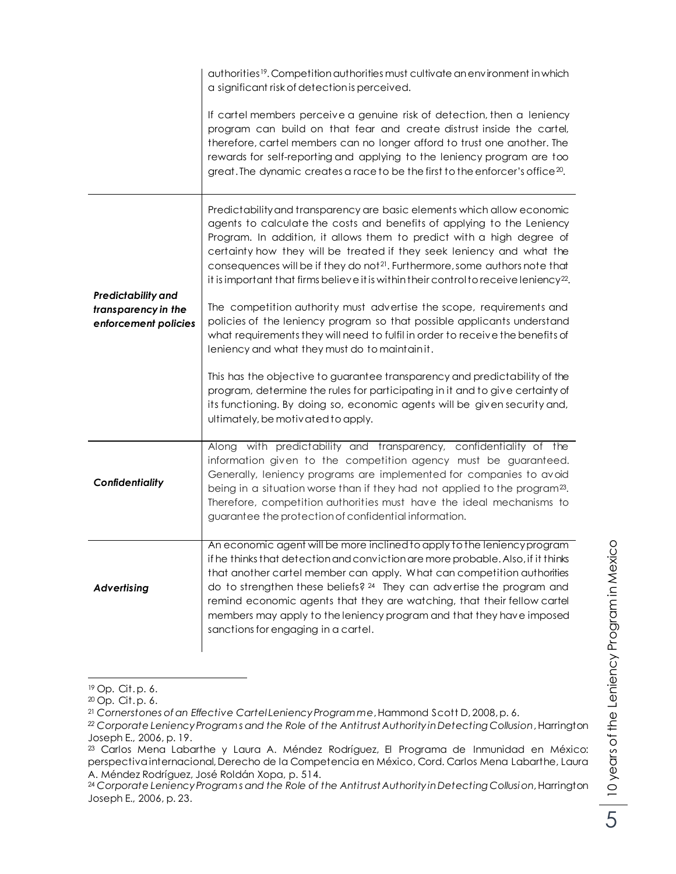|                                                                   | authorities <sup>19</sup> . Competition authorities must cultivate an environment in which<br>a significant risk of detection is perceived.                                                                                                                                                                                                                                                                                                                                                                                                                                                                                                            |
|-------------------------------------------------------------------|--------------------------------------------------------------------------------------------------------------------------------------------------------------------------------------------------------------------------------------------------------------------------------------------------------------------------------------------------------------------------------------------------------------------------------------------------------------------------------------------------------------------------------------------------------------------------------------------------------------------------------------------------------|
|                                                                   | If cartel members perceive a genuine risk of detection, then a leniency<br>program can build on that fear and create distrust inside the cartel,<br>therefore, cartel members can no longer afford to trust one another. The<br>rewards for self-reporting and applying to the leniency program are too<br>great. The dynamic creates a race to be the first to the enforcer's office $20$ .                                                                                                                                                                                                                                                           |
| Predictability and<br>transparency in the<br>enforcement policies | Predictability and transparency are basic elements which allow economic<br>agents to calculate the costs and benefits of applying to the Leniency<br>Program. In addition, it allows them to predict with a high degree of<br>certainty how they will be treated if they seek leniency and what the<br>consequences will be if they do not <sup>21</sup> . Furthermore, some authors note that<br>it is important that firms believe it is within their control to receive leniency <sup>22</sup> .<br>The competition authority must advertise the scope, requirements and<br>policies of the leniency program so that possible applicants understand |
|                                                                   | what requirements they will need to fulfil in order to receive the benefits of<br>leniency and what they must do to maintainit.<br>This has the objective to guarantee transparency and predictability of the<br>program, determine the rules for participating in it and to give certainty of<br>its functioning. By doing so, economic agents will be given security and,<br>ultimately, be motivated to apply.                                                                                                                                                                                                                                      |
| Confidentiality                                                   | Along with predictability and transparency, confidentiality of the<br>information given to the competition agency must be guaranteed.<br>Generally, leniency programs are implemented for companies to avoid<br>being in a situation worse than if they had not applied to the program <sup>23</sup> .<br>Therefore, competition authorities must have the ideal mechanisms to<br>guarantee the protection of confidential information.                                                                                                                                                                                                                |
| <b>Advertising</b>                                                | An economic agent will be more inclined to apply to the leniency program<br>if he thinks that detection and conviction are more probable. Also, if it thinks<br>that another cartel member can apply. What can competition authorities<br>do to strengthen these beliefs? <sup>24</sup> They can advertise the program and<br>remind economic agents that they are watching, that their fellow cartel<br>members may apply to the leniency program and that they have imposed<br>sanctions for engaging in a cartel.                                                                                                                                   |

 $\overline{a}$ <sup>19</sup> Op. Cit.p. 6.

<sup>24</sup> *Corporate Leniency Program s and the Role of the Antitrust Authority in Detecting Collusion*, Harrington Joseph E., 2006, p. 23.

<sup>20</sup> Op. Cit. p. 6.

<sup>21</sup> *Cornerstones of an Effective Cartel Leniency Program me*, Hammond Scott D, 2008, p. 6.

*<sup>22</sup> Corporate Leniency Program s and the Role of the Antitrust Authority in Detecting Collusion*, Harrington Joseph E., 2006, p. 19.

<sup>23</sup> Carlos Mena Labarthe y Laura A. Méndez Rodríguez, El Programa de Inmunidad en México: perspectiva internacional, Derecho de la Competencia en México, Cord. Carlos Mena Labarthe, Laura A. Méndez Rodríguez, José Roldán Xopa, p. 514.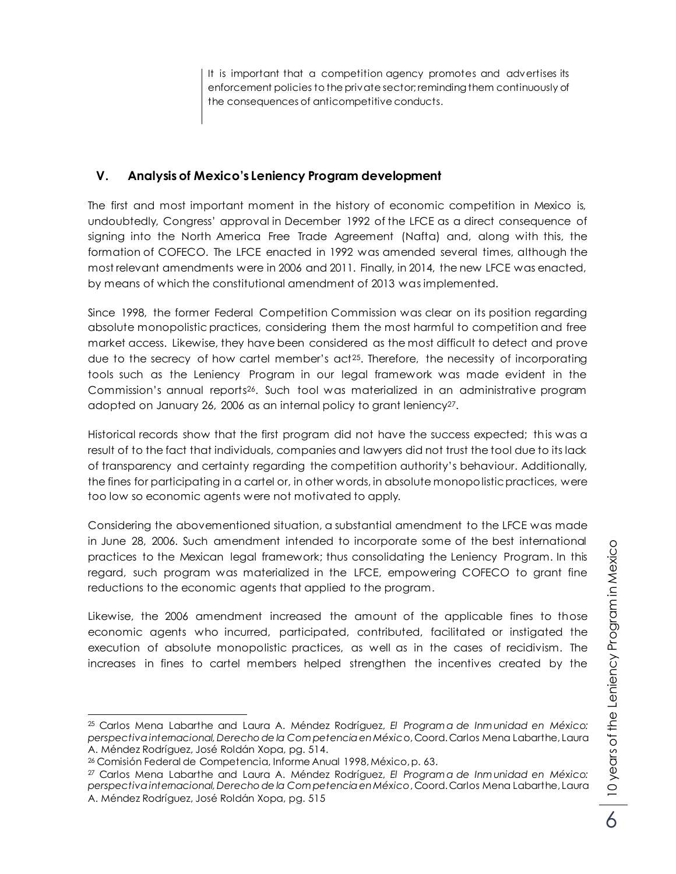It is important that a competition agency promotes and advertises its enforcement policies to the private sector; reminding them continuously of the consequences of anticompetitive conducts.

## **V. Analysis of Mexico's Leniency Program development**

The first and most important moment in the history of economic competition in Mexico is, undoubtedly, Congress' approval in December 1992 of the LFCE as a direct conseauence of signing into the North America Free Trade Agreement (Nafta) and, along with this, the formation of COFECO. The LFCE enacted in 1992 was amended several times, although the most relevant amendments were in 2006 and 2011. Finally, in 2014, the new LFCE was enacted, by means of which the constitutional amendment of 2013 was implemented.

Since 1998, the former Federal Competition Commission was clear on its position regarding absolute monopolistic practices, considering them the most harmful to competition and free market access. Likewise, they have been considered as the most difficult to detect and prove due to the secrecy of how cartel member's act<sup>25</sup>. Therefore, the necessity of incorporating tools such as the Leniency Program in our legal framework was made evident in the Commission's annual reports <sup>26</sup>. Such tool was materialized in an administrative program adopted on January 26, 2006 as an internal policy to grant leniency27.

Historical records show that the first program did not have the success expected; this was a result of to the fact that individuals, companies and lawyers did not trust the tool due to its lack of transparency and certainty regarding the competition authority's behaviour. Additionally, the fines for participating in a cartel or, in other words, in absolute monopolistic practices, were too low so economic agents were not motivated to apply.

Considering the abovementioned situation, a substantial amendment to the LFCE was made in June 28, 2006. Such amendment intended to incorporate some of the best international practices to the Mexican legal framework; thus consolidating the Leniency Program. In this regard, such program was materialized in the LFCE, empowering COFECO to grant fine reductions to the economic agents that applied to the program.

Likewise, the 2006 amendment increased the amount of the applicable fines to those economic agents who incurred, participated, contributed, facilitated or instigated the execution of absolute monopolistic practices, as well as in the cases of recidivism. The increases in fines to cartel members helped strengthen the incentives created by the

 $\overline{a}$ <sup>25</sup> Carlos Mena Labarthe and Laura A. Méndez Rodríguez, *El Program a de Inm unidad en México: perspectiva internacional, Derecho de la Com petencia en Méxic*o, Coord. Carlos Mena Labarthe, Laura A. Méndez Rodríguez, José Roldán Xopa, pg. 514.

<sup>26</sup> Comisión Federal de Competencia, Informe Anual 1998, México, p. 63.

<sup>27</sup> Carlos Mena Labarthe and Laura A. Méndez Rodríguez, *El Program a de Inm unidad en México: perspectiva internacional, Derecho de la Com petencia en México*, Coord. Carlos Mena Labarthe, Laura A. Méndez Rodríguez, José Roldán Xopa, pg. 515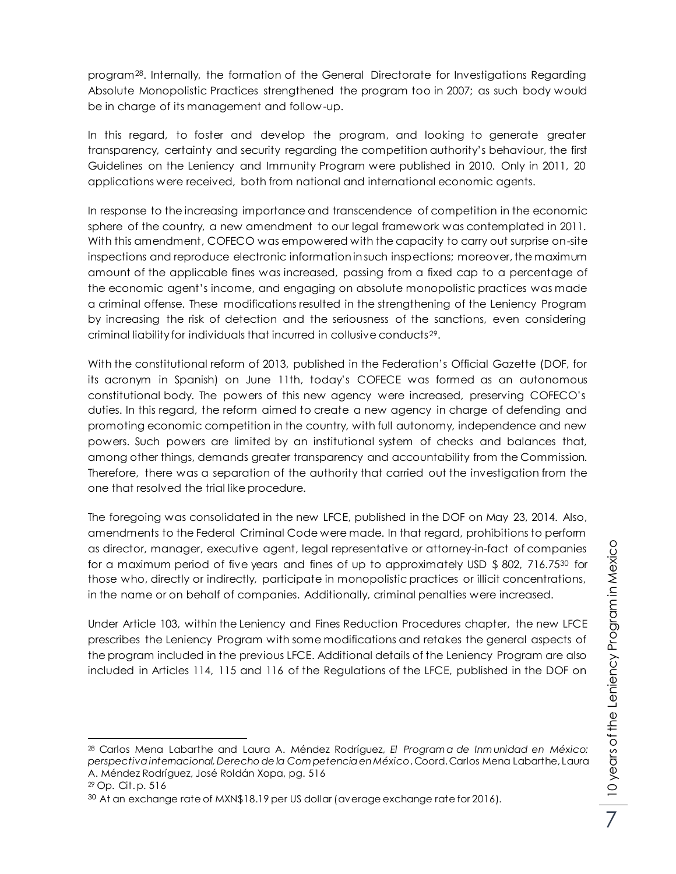program28. Internally, the formation of the General Directorate for Investigations Regarding Absolute Monopolistic Practices strengthened the program too in 2007; as such body would be in charge of its management and follow -up.

In this regard, to foster and develop the program, and looking to generate greater transparency, certainty and security regarding the competition authority's behaviour, the first Guidelines on the Leniency and Immunity Program were published in 2010. Only in 2011, 20 applications were received, both from national and international economic agents.

In response to the increasing importance and transcendence of competition in the economic sphere of the country, a new amendment to our legal framework was contemplated in 2011. With this amendment, COFECO was empowered with the capacity to carry out surprise on-site inspections and reproduce electronic information in such inspections; moreover, the maximum amount of the applicable fines was increased, passing from a fixed cap to a percentage of the economic agent's income, and engaging on absolute monopolistic practices was made a criminal offense. These modifications resulted in the strengthening of the Leniency Program by increasing the risk of detection and the seriousness of the sanctions, even considering criminal liability for individuals that incurred in collusive conducts29.

With the constitutional reform of 2013, published in the Federation's Official Gazette (DOF, for its acronym in Spanish) on June 11th, today's COFECE was formed as an autonomous constitutional body. The powers of this new agency were increased, preserving COFECO's duties. In this regard, the reform aimed to create a new agency in charge of defending and promoting economic competition in the country, with full autonomy, independence and new powers. Such powers are limited by an institutional system of checks and balances that, among other things, demands greater transparency and accountability from the Commission. Therefore, there was a separation of the authority that carried out the investigation from the one that resolved the trial like procedure.

The foregoing was consolidated in the new LFCE, published in the DOF on May 23, 2014. Also, amendments to the Federal Criminal Code were made. In that regard, prohibitions to perform as director, manager, executive agent, legal representative or attorney-in-fact of companies for a maximum period of five years and fines of up to approximately USD  $$802, 716.75^{30}$  for those who, directly or indirectly, participate in monopolistic practices or illicit concentrations, in the name or on behalf of companies. Additionally, criminal penalties were increased.

Under Article 103, within the Leniency and Fines Reduction Procedures chapter, the new LFCE prescribes the Leniency Program with some modifications and retakes the general aspects of the program included in the previous LFCE. Additional details of the Leniency Program are also included in Articles 114, 115 and 116 of the Regulations of the LFCE, published in the DOF on

 $\overline{a}$ <sup>28</sup> Carlos Mena Labarthe and Laura A. Méndez Rodríguez, *El Program a de Inm unidad en México: perspectiva internacional, Derecho de la Com petencia en México*, Coord. Carlos Mena Labarthe, Laura A. Méndez Rodríguez, José Roldán Xopa, pg. 516

<sup>29</sup> Op. Cit. p. 516

 $30$  At an exchange rate of MXN\$18.19 per US dollar (average exchange rate for 2016).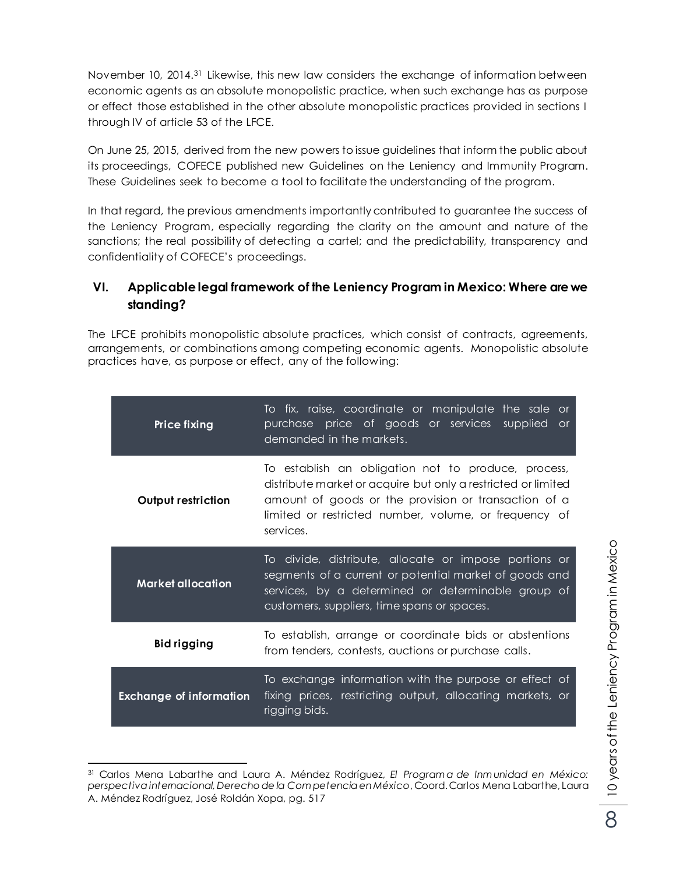November 10, 2014. <sup>31</sup> Likewise, this new law considers the exchange of information between economic agents as an absolute monopolistic practice, when such exchange has as purpose or effect those established in the other absolute monopolistic practices provided in sections I through IV of article 53 of the LFCE.

On June 25, 2015, derived from the new powers to issue guidelines that inform the public about its proceedings, COFECE published new Guidelines on the Leniency and Immunity Program. These Guidelines seek to become a tool to facilitate the understanding of the program.

In that regard, the previous amendments importantly contributed to guarantee the success of the Leniency Program, especially regarding the clarity on the amount and nature of the sanctions; the real possibility of detecting a cartel; and the predictability, transparency and confidentiality of COFECE's proceedings.

### **VI. Applicable legal framework of the Leniency Program in Mexico: Where are we standing?**

The LFCE prohibits monopolistic absolute practices, which consist of contracts, agreements, arrangements, or combinations among competing economic agents. Monopolistic absolute practices have, as purpose or effect, any of the following:

| <b>Price fixing</b>            | To fix, raise, coordinate or manipulate the sale or<br>purchase price of goods or services supplied<br>$\alpha$<br>demanded in the markets.                                                                                                        |  |
|--------------------------------|----------------------------------------------------------------------------------------------------------------------------------------------------------------------------------------------------------------------------------------------------|--|
| Output restriction             | To establish an obligation not to produce, process,<br>distribute market or acquire but only a restricted or limited<br>amount of goods or the provision or transaction of a<br>limited or restricted number, volume, or frequency of<br>services. |  |
| Market allocation              | To divide, distribute, allocate or impose portions or<br>segments of a current or potential market of goods and<br>services, by a determined or determinable group of<br>customers, suppliers, time spans or spaces.                               |  |
| <b>Bid rigging</b>             | To establish, arrange or coordinate bids or abstentions<br>from tenders, contests, auctions or purchase calls.                                                                                                                                     |  |
| <b>Exchange of information</b> | To exchange information with the purpose or effect of<br>fixing prices, restricting output, allocating markets, or<br>rigging bids.                                                                                                                |  |

 $\overline{a}$ <sup>31</sup> Carlos Mena Labarthe and Laura A. Méndez Rodríguez, *El Program a de Inm unidad en México: perspectiva internacional, Derecho de la Com petencia en México*, Coord. Carlos Mena Labarthe, Laura A. Méndez Rodríguez, José Roldán Xopa, pg. 517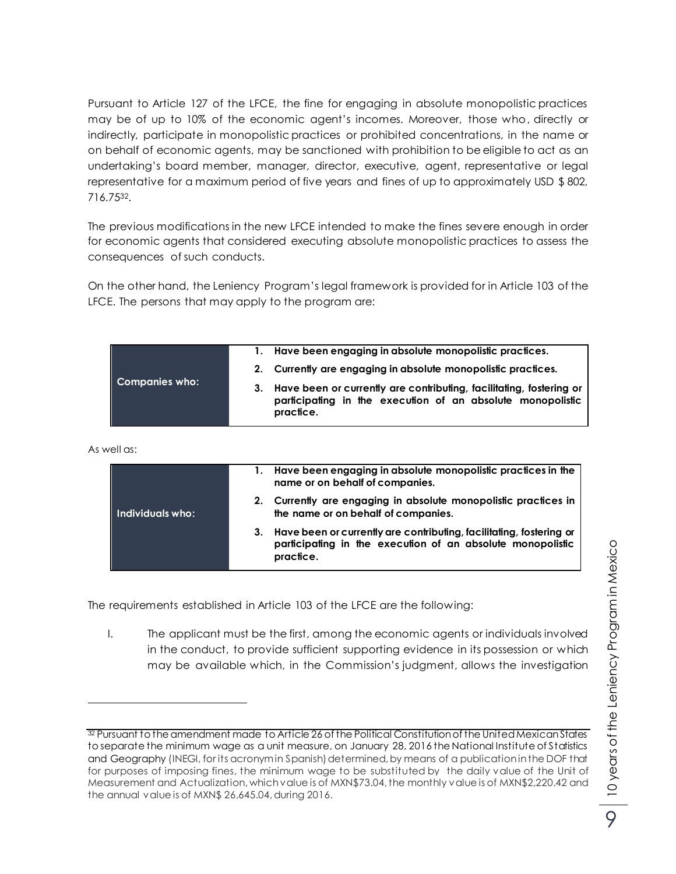Pursuant to Article 127 of the LFCE, the fine for engaging in absolute monopolistic practices may be of up to 10% of the economic agent's incomes. Moreover, those who, directly or indirectly, participate in monopolistic practices or prohibited concentrations, in the name or on behalf of economic agents, may be sanctioned with prohibition to be eligible to act as an undertaking's board member, manager, director, executive, agent, representative or legal representative for a maximum period of five years and fines of up to approximately USD \$ 802, 716.7532.

The previous modifications in the new LFCE intended to make the fines severe enough in order for economic agents that considered executing absolute monopolistic practices to assess the consequences of such conducts.

On the other hand, the Leniency Program's legal framework is provided for in Article 103 of the LFCE. The persons that may apply to the program are:

| Companies who: | 1. Have been engaging in absolute monopolistic practices.                                                                                         |
|----------------|---------------------------------------------------------------------------------------------------------------------------------------------------|
|                | 2. Currently are engaging in absolute monopolistic practices.                                                                                     |
|                | 3. Have been or currently are contributing, facilitating, fostering or<br>participating in the execution of an absolute monopolistic<br>practice. |

As well as:

 $\overline{a}$ 

|                  | 1. Have been engaging in absolute monopolistic practices in the<br>name or on behalf of companies.                                                |
|------------------|---------------------------------------------------------------------------------------------------------------------------------------------------|
| Individuals who: | 2. Currently are engaging in absolute monopolistic practices in<br>the name or on behalf of companies.                                            |
|                  | 3. Have been or currently are contributing, facilitating, fostering or<br>participating in the execution of an absolute monopolistic<br>practice. |

The requirements established in Article 103 of the LFCE are the following:

I. The applicant must be the first, among the economic agents or individuals involved in the conduct, to provide sufficient supporting evidence in its possession or which may be available which, in the Commission's judgment, allows the investigation

 $32$  Pursuant to the amendment made to Article 26 of the Political Constitution of the United Mexican States to separate the minimum wage as a unit measure, on January 28, 2016 the National Institute of Statistics and Geography (INEGI, for its acronym in Spanish) determined, by means of a publication in the DOF that for purposes of imposing fines, the minimum wage to be substituted by the daily value of the Unit of Measurement and Actualization, which value is of MXN\$73.04, the monthly value is of MXN\$2,220.42 and the annual value is of MXN\$ 26,645.04, during 2016.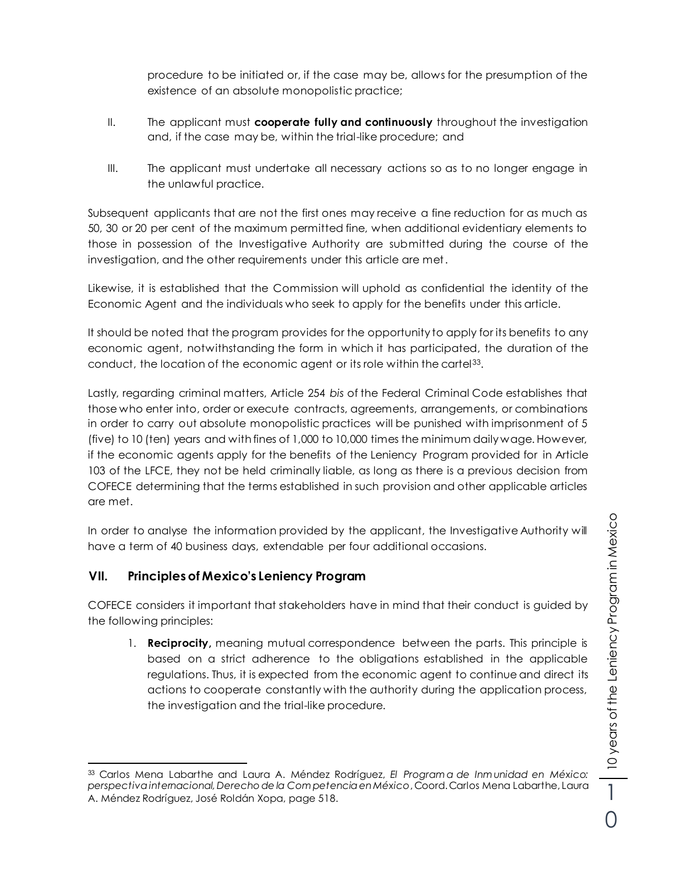procedure to be initiated or, if the case may be, allows for the presumption of the existence of an absolute monopolistic practice;

- II. The applicant must **cooperate fully and continuously** throughout the investigation and, if the case may be, within the trial-like procedure; and
- III. The applicant must undertake all necessary actions so as to no longer engage in the unlawful practice.

Subsequent applicants that are not the first ones may receive a fine reduction for as much as 50, 30 or 20 per cent of the maximum permitted fine, when additional evidentiary elements to those in possession of the Investigative Authority are submitted during the course of the investigation, and the other requirements under this article are met.

Likewise, it is established that the Commission will uphold as confidential the identity of the Economic Agent and the individuals who seek to apply for the benefits under this article.

It should be noted that the program provides for the opportunity to apply for its benefits to any economic agent, notwithstanding the form in which it has participated, the duration of the conduct, the location of the economic agent or its role within the cartel<sup>33</sup>.

Lastly, regarding criminal matters, Article 254 *bis* of the Federal Criminal Code establishes that those who enter into, order or execute contracts, agreements, arrangements, or combinations in order to carry out absolute monopolistic practices will be punished with imprisonment of 5 (five) to 10 (ten) years and with fines of 1,000 to 10,000 times the minimum daily wage. However, if the economic agents apply for the benefits of the Leniency Program provided for in Article 103 of the LFCE, they not be held criminally liable, as long as there is a previous decision from COFECE determining that the terms established in such provision and other applicable articles are met.

In order to analyse the information provided by the applicant, the Investigative Authority will have a term of 40 business days, extendable per four additional occasions.

### **VII. Principles of Mexico's Leniency Program**

COFECE considers it important that stakeholders have in mind that their conduct is guided by the following principles:

1. **Reciprocity,** meaning mutual correspondence between the parts. This principle is based on a strict adherence to the obligations established in the applicable regulations. Thus, it is expected from the economic agent to continue and direct its actions to cooperate constantly with the authority during the application process, the investigation and the trial-like procedure.

 $\overline{a}$ <sup>33</sup> Carlos Mena Labarthe and Laura A. Méndez Rodríguez, *El Program a de Inm unidad en México: perspectiva internacional, Derecho de la Com petencia en México*, Coord. Carlos Mena Labarthe, Laura A. Méndez Rodríguez, José Roldán Xopa, page 518.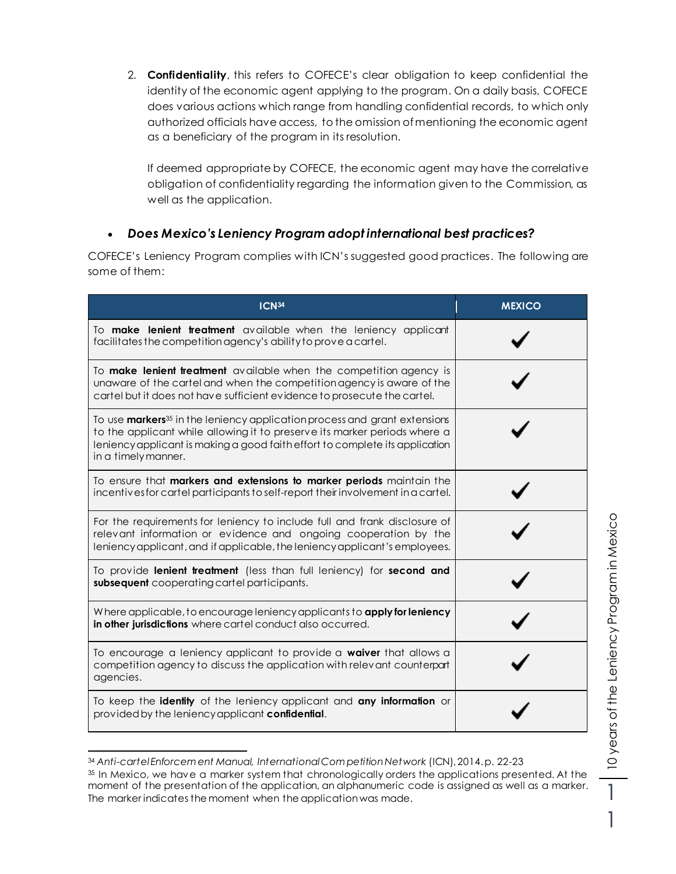2. **Confidentiality**, this refers to COFECE's clear obligation to keep confidential the identity of the economic agent applying to the program. On a daily basis, COFECE does various actions which range from handling confidential records, to which only authorized officials have access, to the omission of mentioning the economic agent as a beneficiary of the program in its resolution.

If deemed appropriate by COFECE, the economic agent may have the correlative obligation of confidentiality regarding the information given to the Commission, as well as the application.

### *Does Mexico's Leniency Program adopt international best practices?*

COFECE's Leniency Program complies with ICN's suggested good practices. The following are some of them:

| ICN <sub>34</sub>                                                                                                                                                                                                                                                                | <b>MEXICO</b> |
|----------------------------------------------------------------------------------------------------------------------------------------------------------------------------------------------------------------------------------------------------------------------------------|---------------|
| To make lenient treatment available when the leniency applicant<br>facilitates the competition agency's ability to prove a cartel.                                                                                                                                               |               |
| To <b>make lenient treatment</b> available when the competition agency is<br>unaware of the cartel and when the competition agency is aware of the<br>cartel but it does not have sufficient evidence to prosecute the cartel.                                                   |               |
| To use <b>markers</b> <sup>35</sup> in the leniency application process and grant extensions<br>to the applicant while allowing it to preserve its marker periods where a<br>leniency applicant is making a good faith effort to complete its application<br>in a timely manner. |               |
| To ensure that markers and extensions to marker periods maintain the<br>incentives for cartel participants to self-report their involvement in a cartel.                                                                                                                         |               |
| For the requirements for leniency to include full and frank disclosure of<br>relevant information or evidence and ongoing cooperation by the<br>leniency applicant, and if applicable, the leniency applicant's employees.                                                       |               |
| To provide lenient treatment (less than full leniency) for second and<br>subsequent cooperating cartel participants.                                                                                                                                                             |               |
| Where applicable, to encourage leniency applicants to <b>apply for leniency</b><br>in other jurisdictions where cartel conduct also occurred.                                                                                                                                    |               |
| To encourage a leniency applicant to provide a waiver that allows a<br>competition agency to discuss the application with relevant counterpart<br>agencies.                                                                                                                      |               |
| To keep the <b>identity</b> of the leniency applicant and <b>any information</b> or<br>provided by the leniency applicant <b>confidential</b> .                                                                                                                                  |               |

 $\overline{a}$ <sup>34</sup> *Anti-cartel Enforcem ent Manual, International Com petition Network* (ICN), 2014. p. 22-23

1

<sup>35</sup> In Mexico, we have a marker system that chronologically orders the applications presented. At the moment of the presentation of the application, an alphanumeric code is assigned as well as a marker. The marker indicates the moment when the application was made.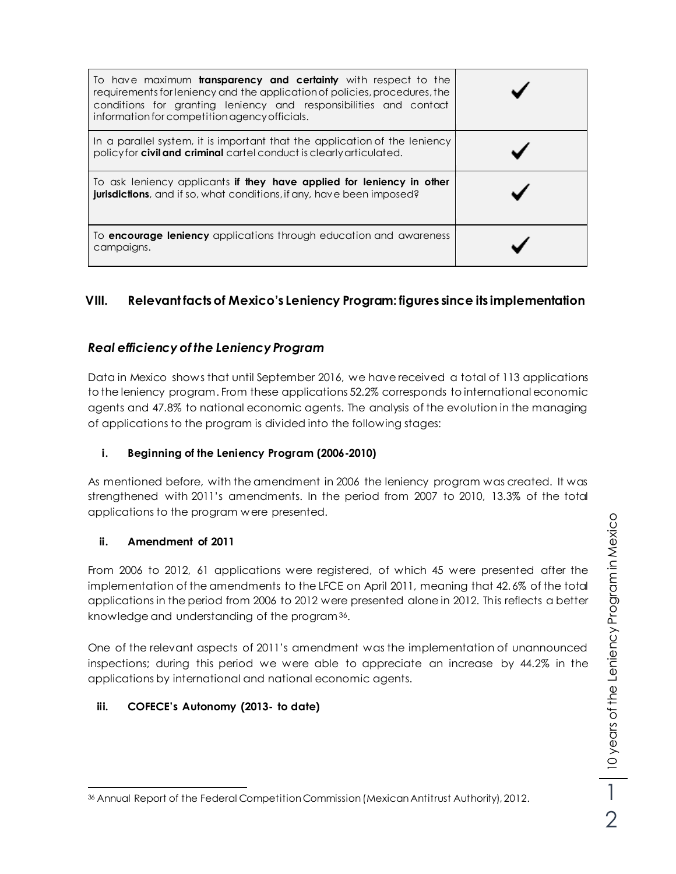| To have maximum <b>transparency and certainty</b> with respect to the<br>requirements for leniency and the application of policies, procedures, the<br>conditions for granting leniency and responsibilities and contact<br>information for competition agency officials. |  |
|---------------------------------------------------------------------------------------------------------------------------------------------------------------------------------------------------------------------------------------------------------------------------|--|
| In a parallel system, it is important that the application of the leniency<br>policy for civil and criminal cartel conduct is clearly articulated.                                                                                                                        |  |
| To ask leniency applicants if they have applied for leniency in other<br><b>jurisdictions</b> , and if so, what conditions, if any, have been imposed?                                                                                                                    |  |
| To <b>encourage leniency</b> applications through education and awareness<br>campaigns.                                                                                                                                                                                   |  |

# **VIII. Relevant facts of Mexico's Leniency Program: figures since its implementation**

### *Real efficiency of the Leniency Program*

Data in Mexico shows that until September 2016, we have received a total of 113 applications to the leniency program. From these applications 52.2% corresponds to international economic agents and 47.8% to national economic agents. The analysis of the evolution in the managing of applications to the program is divided into the following stages:

### **i. Beginning of the Leniency Program (2006-2010)**

As mentioned before, with the amendment in 2006 the leniency program was created. It was strengthened with 2011's amendments. In the period from 2007 to 2010, 13.3% of the total applications to the program were presented.

#### **ii. Amendment of 2011**

From 2006 to 2012, 61 applications were registered, of which 45 were presented after the implementation of the amendments to the LFCE on April 2011, meaning that 42.6% of the total applications in the period from 2006 to 2012 were presented alone in 2012. This reflects a better knowledge and understanding of the program<sup>36</sup>.

One of the relevant aspects of 2011's amendment was the implementation of unannounced inspections; during this period we were able to appreciate an increase by 44.2% in the applications by international and national economic agents.

### **iii. COFECE's Autonomy (2013- to date)**

 $\overline{a}$ <sup>36</sup> Annual Report of the Federal Competition Commission (Mexican Antitrust Authority), 2012.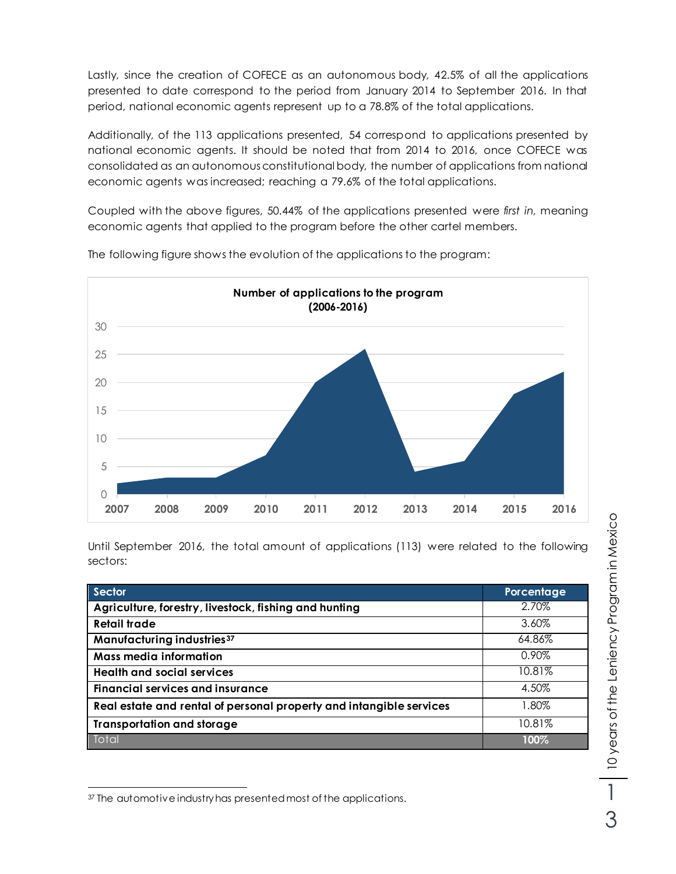Lastly, since the creation of COFECE as an autonomous body, 42.5% of all the applications presented to date correspond to the period from January 2014 to September 2016. In that period, national economic agents represent up to a 78.8% of the total applications.

Additionally, of the 113 applications presented, 54 correspond to applications presented by national economic agents. It should be noted that from 2014 to 2016, once COFECE was consolidated as an autonomous constitutional body, the number of applications from national economic agents was increased; reaching a 79.6% of the total applications.

Coupled with the above figures, 50.44% of the applications presented were *first in,* meaning economic agents that applied to the program before the other cartel members.



The following figure shows the evolution of the applications to the program:

Until September 2016, the total amount of applications (113) were related to the following sectors:

| Sector                                                              | Porcentage |
|---------------------------------------------------------------------|------------|
| Agriculture, forestry, livestock, fishing and hunting               | 2.70%      |
| <b>Retail trade</b>                                                 | 3.60%      |
| Manufacturing industries <sup>37</sup>                              | 64.86%     |
| Mass media information                                              | $0.90\%$   |
| <b>Health and social services</b>                                   | 10.81%     |
| Financial services and insurance                                    | 4.50%      |
| Real estate and rental of personal property and intangible services | 1.80%      |
| <b>Transportation and storage</b>                                   | 10.81%     |
| Total                                                               | 100%       |

 $\overline{a}$ <sup>37</sup> The automotive industry has presented most of the applications.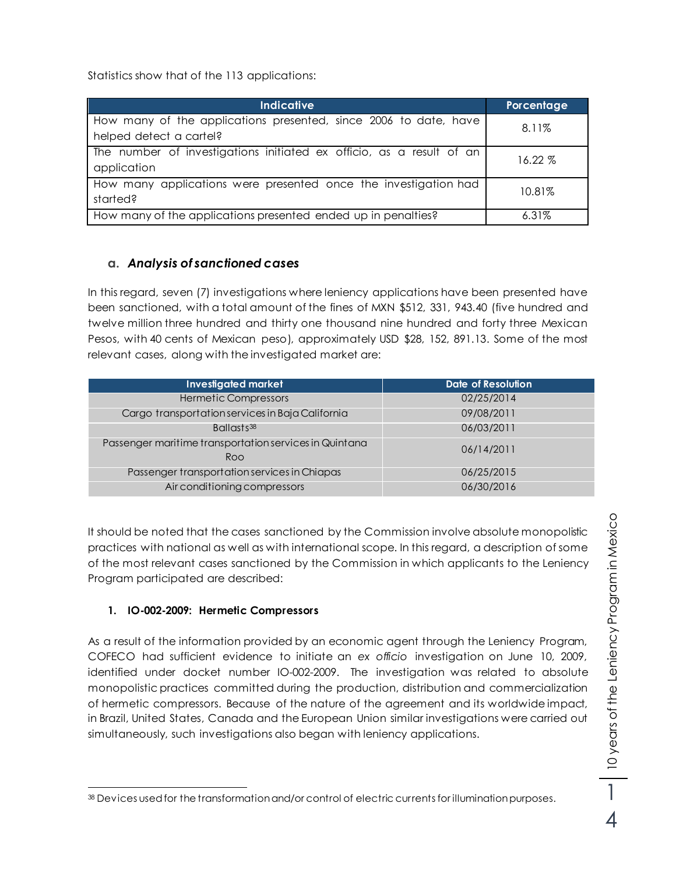Statistics show that of the 113 applications:

| Indicative                                                                                  | Porcentage |
|---------------------------------------------------------------------------------------------|------------|
| How many of the applications presented, since 2006 to date, have<br>helped detect a cartel? | 8.11%      |
| The number of investigations initiated ex officio, as a result of an<br>application         | 16.22 %    |
| How many applications were presented once the investigation had<br>started?                 | 10.81%     |
| How many of the applications presented ended up in penalties?                               | $6.31\%$   |

### **a.** *Analysis of sanctioned cases*

In this regard, seven (7) investigations where leniency applications have been presented have been sanctioned, with a total amount of the fines of MXN \$512, 331, 943.40 (five hundred and twelve million three hundred and thirty one thousand nine hundred and forty three Mexican Pesos, with 40 cents of Mexican peso), approximately USD \$28, 152, 891.13. Some of the most relevant cases, along with the investigated market are:

| <b>Investigated market</b>                                    | Date of Resolution |
|---------------------------------------------------------------|--------------------|
| <b>Hermetic Compressors</b>                                   | 02/25/2014         |
| Cargo transportation services in Baja California              | 09/08/2011         |
| Ballasts <sup>38</sup>                                        | 06/03/2011         |
| Passenger maritime transportation services in Quintana<br>Roo | 06/14/2011         |
| Passenger transportation services in Chiapas                  | 06/25/2015         |
| Air conditioning compressors                                  | 06/30/2016         |

It should be noted that the cases sanctioned by the Commission involve absolute monopolistic practices with national as well as with international scope. In this regard, a description of some of the most relevant cases sanctioned by the Commission in which applicants to the Leniency Program participated are described:

### **1. IO-002-2009: Hermetic Compressors**

As a result of the information provided by an economic agent through the Leniency Program, COFECO had sufficient evidence to initiate an *ex officio* investigation on June 10, 2009, identified under docket number IO-002-2009. The investigation was related to absolute monopolistic practices committed during the production, distribution and commercialization of hermetic compressors. Because of the nature of the agreement and its worldwide impact, in Brazil, United States, Canada and the European Union similar investigations were carried out simultaneously, such investigations also began with leniency applications.

 $\overline{a}$ <sup>38</sup> Devices used for the transformation and/or control of electric currents for illumination purposes.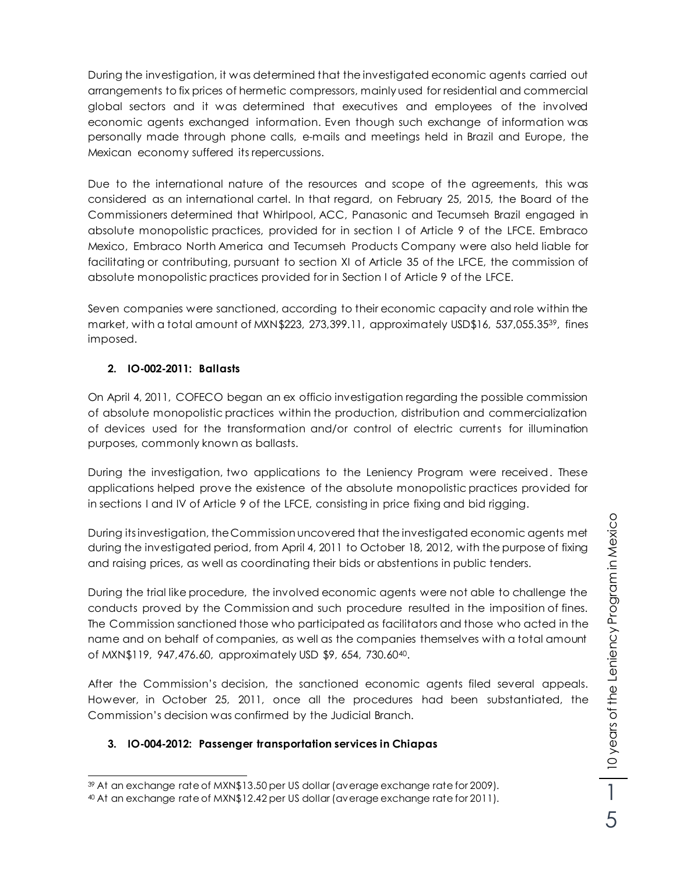During the investigation, it was determined that the investigated economic agents carried out arrangements to fix prices of hermetic compressors, mainly used for residential and commercial global sectors and it was determined that executives and employees of the involved economic agents exchanged information. Even though such exchange of information was personally made through phone calls, e-mails and meetings held in Brazil and Europe, the Mexican economy suffered its repercussions.

Due to the international nature of the resources and scope of the agreements, this was considered as an international cartel. In that regard, on February 25, 2015, the Board of the Commissioners determined that Whirlpool, ACC, Panasonic and Tecumseh Brazil engaged in absolute monopolistic practices, provided for in section I of Article 9 of the LFCE. Embraco Mexico, Embraco North America and Tecumseh Products Company were also held liable for facilitating or contributing, pursuant to section XI of Article 35 of the LFCE, the commission of absolute monopolistic practices provided for in Section I of Article 9 of the LFCE.

Seven companies were sanctioned, according to their economic capacity and role within the market, with a total amount of MXN\$223, 273,399.11, approximately USD\$16, 537,055.3539, fines imposed.

#### **2. IO-002-2011: Ballasts**

On April 4, 2011, COFECO began an ex officio investigation regarding the possible commission of absolute monopolistic practices within the production, distribution and commercialization of devices used for the transformation and/or control of electric currents for illumination purposes, commonly known as ballasts.

During the investigation, two applications to the Leniency Program were received. These applications helped prove the existence of the absolute monopolistic practices provided for in sections I and IV of Article 9 of the LFCE, consisting in price fixing and bid rigging.

During its investigation, the Commission uncovered that the investigated economic agents met during the investigated period, from April 4, 2011 to October 18, 2012, with the purpose of fixing and raising prices, as well as coordinating their bids or abstentions in public tenders.

During the trial like procedure, the involved economic agents were not able to challenge the conducts proved by the Commission and such procedure resulted in the imposition of fines. The Commission sanctioned those who participated as facilitators and those who acted in the name and on behalf of companies, as well as the companies themselves with a total amount of MXN\$119, 947,476.60, approximately USD \$9, 654, 730.6040.

After the Commission's decision, the sanctioned economic agents filed several appeals. However, in October 25, 2011, once all the procedures had been substantiated, the Commission's decision was confirmed by the Judicial Branch.

#### **3. IO-004-2012: Passenger transportation services in Chiapas**

 $\overline{a}$ <sup>39</sup> At an exchange rate of MXN\$13.50 per US dollar (average exchange rate for 2009).

<sup>40</sup> At an exchange rate of MXN\$12.42 per US dollar (average exchange rate for 2011).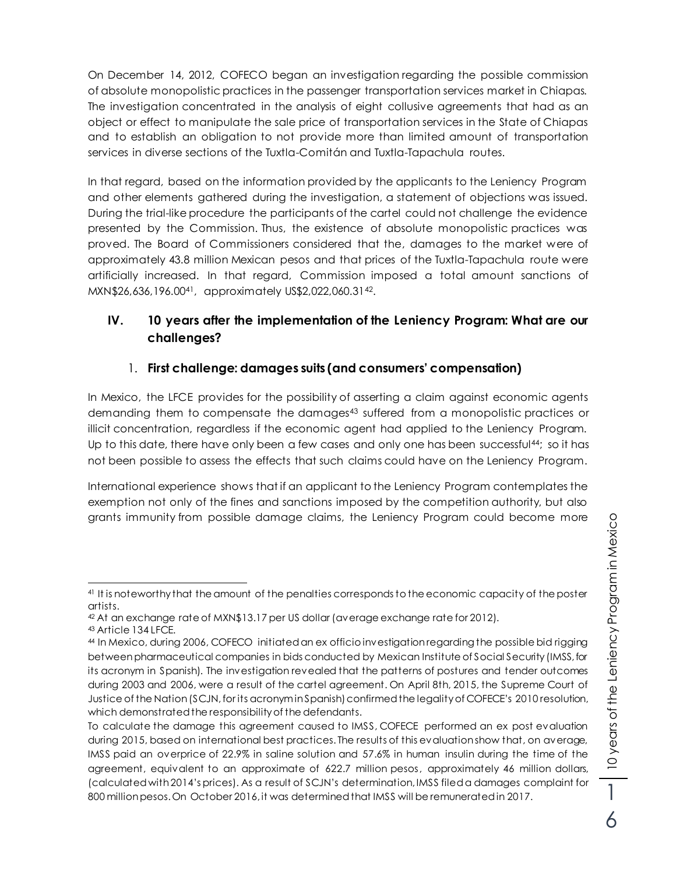On December 14, 2012, COFECO began an investigation regarding the possible commission of absolute monopolistic practices in the passenger transportation services market in Chiapas. The investigation concentrated in the analysis of eight collusive agreements that had as an object or effect to manipulate the sale price of transportation services in the State of Chiapas and to establish an obligation to not provide more than limited amount of transportation services in diverse sections of the Tuxtla-Comitán and Tuxtla-Tapachula routes.

In that regard, based on the information provided by the applicants to the Leniency Program and other elements gathered during the investigation, a statement of objections was issued. During the trial-like procedure the participants of the cartel could not challenge the evidence presented by the Commission. Thus, the existence of absolute monopolistic practices was proved. The Board of Commissioners considered that the, damages to the market were of approximately 43.8 million Mexican pesos and that prices of the Tuxtla-Tapachula route were artificially increased. In that regard, Commission imposed a total amount sanctions of MXN\$26,636,196.0041, approximately US\$2,022,060.3142.

## **IV. 10 years after the implementation of the Leniency Program: What are our challenges?**

## 1. **First challenge: damages suits (and consumers' compensation)**

In Mexico, the LFCE provides for the possibility of asserting a claim against economic agents demanding them to compensate the damages<sup>43</sup> suffered from a monopolistic practices or illicit concentration, regardless if the economic agent had applied to the Leniency Program. Up to this date, there have only been a few cases and only one has been successful<sup>44</sup>; so it has not been possible to assess the effects that such claims could have on the Leniency Program.

International experience shows that if an applicant to the Leniency Program contemplates the exemption not only of the fines and sanctions imposed by the competition authority, but also grants immunity from possible damage claims, the Leniency Program could become more

 $\overline{a}$ <sup>41</sup> It is noteworthy that the amount of the penalties corresponds to the economic capacity of the poster artists.

<sup>42</sup> At an exchange rate of MXN\$13.17 per US dollar (average exchange rate for 2012).

<sup>43</sup> Article 134 LFCE.

<sup>44</sup> In Mexico, during 2006, COFECO initiated an ex officio investigation regarding the possible bid rigging between pharmaceutical companies in bids conducted by Mexican Institute of Social Security (IMSS, for its acronym in Spanish). The investigation revealed that the patterns of postures and tender outcomes during 2003 and 2006, were a result of the cartel agreement. On April 8th, 2015, the Supreme Court of Justice of the Nation (SCJN, for its acronym in Spanish) confirmed the legality of COFECE's 2010 resolution, which demonstrated the responsibility of the defendants.

To calculate the damage this agreement caused to IMSS, COFECE performed an ex post evaluation during 2015, based on international best practices. The results of this evaluation show that, on average, IMSS paid an overprice of 22.9% in saline solution and 57.6% in human insulin during the time of the agreement, equivalent to an approximate of 622.7 million pesos, approximately 46 million dollars, (calculated with 2014's prices). As a result of SCJN's determination, IMSS filed a damages complaint for 800 million pesos. On October 2016, it was determined that IMSS will be remunerated in 2017.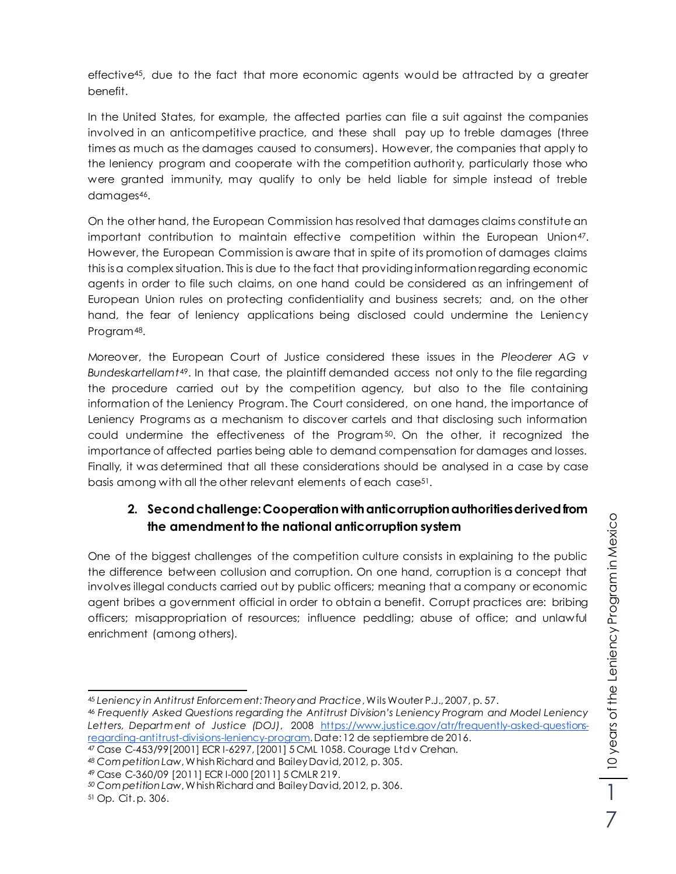effective45, due to the fact that more economic agents would be attracted by a greater benefit.

In the United States, for example, the affected parties can file a suit against the companies involved in an anticompetitive practice, and these shall pay up to treble damages (three times as much as the damages caused to consumers). However, the companies that apply to the leniency program and cooperate with the competition authorit y, particularly those who were granted immunity, may qualify to only be held liable for simple instead of treble damages<sup>46</sup>.

On the other hand, the European Commission has resolved that damages claims constitute an important contribution to maintain effective competition within the European Union47. However, the European Commission is aware that in spite of its promotion of damages claims this isa complex situation. This is due to the fact that providing information regarding economic agents in order to file such claims, on one hand could be considered as an infringement of European Union rules on protecting confidentiality and business secrets; and, on the other hand, the fear of leniency applications being disclosed could undermine the Leniency Program48.

Moreover, the European Court of Justice considered these issues in the *Pleoderer AG v Bundeskartellamt*49. In that case, the plaintiff demanded access not only to the file regarding the procedure carried out by the competition agency, but also to the file containing information of the Leniency Program. The Court considered, on one hand, the importance of Leniency Programs as a mechanism to discover cartels and that disclosing such information could undermine the effectiveness of the Program $50$ . On the other, it recognized the importance of affected parties being able to demand compensation for damages and losses. Finally, it was determined that all these considerations should be analysed in a case by case basis among with all the other relevant elements of each case<sup>51</sup>.

# **2. Second challenge: Cooperation with anticorruption authorities derived from the amendment to the national anticorruption system**

One of the biggest challenges of the competition culture consists in explaining to the public the difference between collusion and corruption. On one hand, corruption is a concept that involves illegal conducts carried out by public officers; meaning that a company or economic agent bribes a government official in order to obtain a benefit. Corrupt practices are: bribing officers; misappropriation of resources; influence peddling; abuse of office; and unlawful enrichment (among others).

<sup>51</sup> Op. Cit. p. 306.

l <sup>45</sup> *Leniency in Antitrust Enforcem ent: Theory and Practice*, Wils Wouter P.J., 2007, p. 57.

<sup>46</sup> *Frequently Asked Questions regarding the Antitrust Division's Leniency Program and Model Leniency Letters, Departm ent of Justice (DOJ)*, 2008 [https://www.justice.gov/atr/frequently-asked-questions](https://www.justice.gov/atr/frequently-asked-questions-regarding-antitrust-divisions-leniency-program)[regarding-antitrust-divisions-leniency-program.](https://www.justice.gov/atr/frequently-asked-questions-regarding-antitrust-divisions-leniency-program) Date: 12 de septiembre de 2016.

<sup>47</sup> Case C-453/99[2001] ECR I-6297, [2001] 5 CML 1058. Courage Ltd v Crehan.

*<sup>48</sup> Com petition Law*, Whish Richard and Bailey David, 2012, p. 305.

<sup>49</sup> Case C-360/09 [2011] ECR I-000 [2011] 5 CMLR 219.

*<sup>50</sup> Com petition Law*, Whish Richard and Bailey David, 2012, p. 306.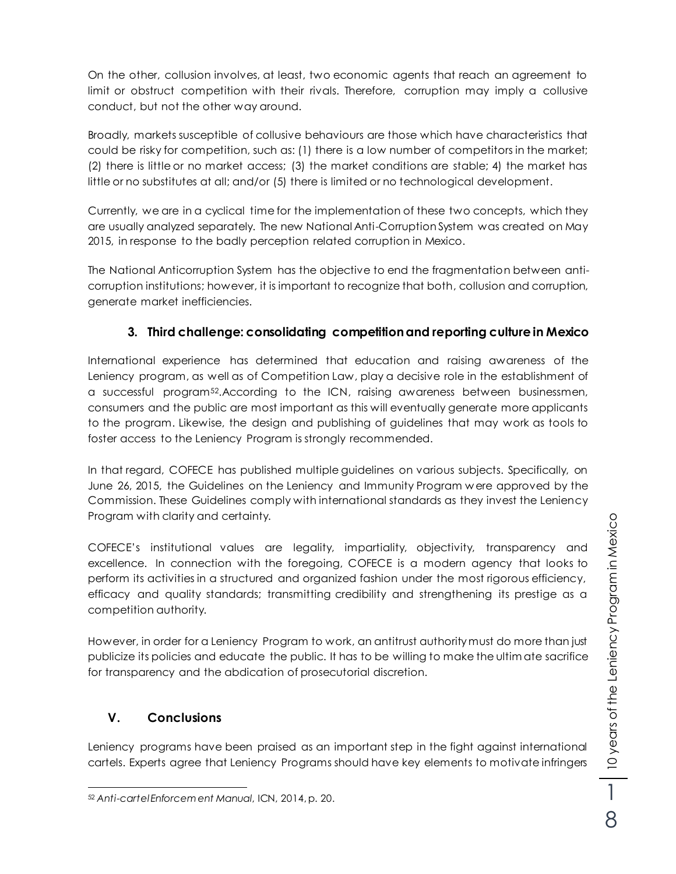10 years of the Leniency Program in Mexico 10 years of the Leniency Program in Mexico 8

On the other, collusion involves, at least, two economic agents that reach an agreement to limit or obstruct competition with their rivals. Therefore, corruption may imply a collusive conduct, but not the other way around.

Broadly, markets susceptible of collusive behaviours are those which have characteristics that could be risky for competition, such as: (1) there is a low number of competitors in the market; (2) there is little or no market access; (3) the market conditions are stable; 4) the market has little or no substitutes at all; and/or (5) there is limited or no technological development.

Currently, we are in a cyclical time for the implementation of these two concepts, which they are usually analyzed separately. The new National Anti-Corruption System was created on May 2015, in response to the badly perception related corruption in Mexico.

The National Anticorruption System has the objective to end the fragmentation between anticorruption institutions; however, it is important to recognize that both, collusion and corruption, generate market inefficiencies.

## **3. Third challenge: consolidating competition and reporting culture in Mexico**

International experience has determined that education and raising awareness of the Leniency program, as well as of Competition Law, play a decisive role in the establishment of a successful program52.According to the ICN, raising awareness between businessmen, consumers and the public are most important as this will eventually generate more applicants to the program. Likewise, the design and publishing of guidelines that may work as tools to foster access to the Leniency Program is strongly recommended.

In that regard, COFECE has published multiple guidelines on various subjects. Specifically, on June 26, 2015, the Guidelines on the Leniency and Immunity Program w ere approved by the Commission. These Guidelines comply with international standards as they invest the Leniency Program with clarity and certainty.

COFECE's institutional values are legality, impartiality, objectivity, transparency and excellence. In connection with the foregoing, COFECE is a modern agency that looks to perform its activities in a structured and organized fashion under the most rigorous efficiency, efficacy and quality standards; transmitting credibility and strengthening its prestige as a competition authority.

However, in order for a Leniency Program to work, an antitrust authority must do more than just publicize its policies and educate the public. It has to be willing to make the ultim ate sacrifice for transparency and the abdication of prosecutorial discretion.

## **V. Conclusions**

Leniency programs have been praised as an important step in the fight against international cartels. Experts agree that Leniency Programs should have key elements to motivate infringers

 $\overline{a}$ <sup>52</sup> *Anti-cartel Enforcem ent Manual*, ICN, 2014, p. 20.